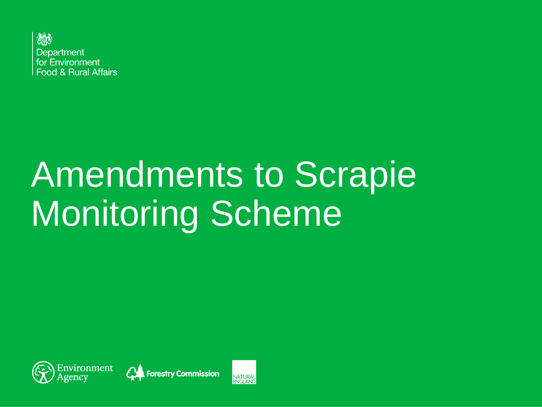

# Amendments to Scrapie Monitoring Scheme





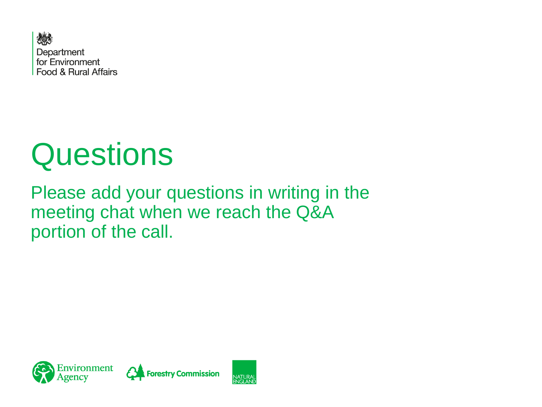

## **Questions**

Please add your questions in writing in the meeting chat when we reach the Q&A portion of the call.

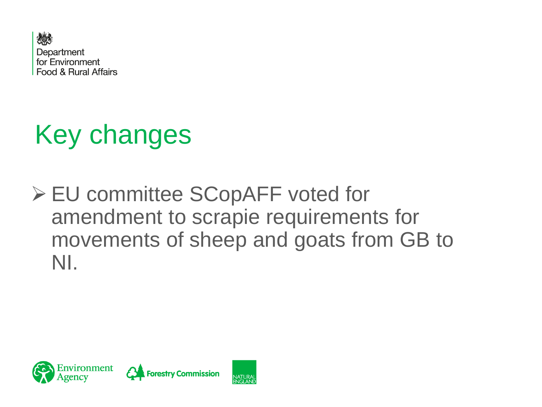

## Key changes

➢ EU committee SCopAFF voted for amendment to scrapie requirements for movements of sheep and goats from GB to NI.

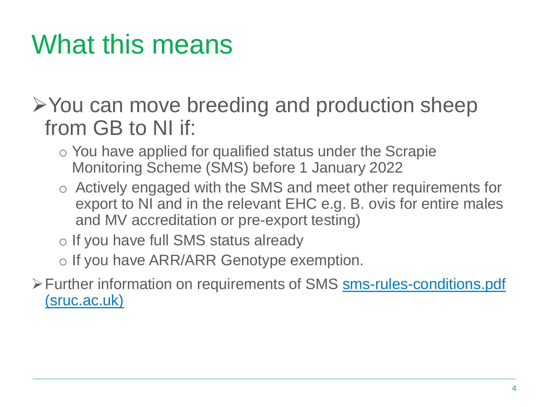## What this means

➢You can move breeding and production sheep from GB to NI if:

- o You have applied for qualified status under the Scrapie Monitoring Scheme (SMS) before 1 January 2022
- o Actively engaged with the SMS and meet other requirements for export to NI and in the relevant EHC e.g. B. ovis for entire males and MV accreditation or pre-export testing)
- o If you have full SMS status already

o If you have ARR/ARR Genotype exemption.

➢[Further information on requirements of SMS](https://www.sruc.ac.uk/media/krvgdwfq/sms-rules-conditions.pdf) sms-rules-conditions.pdf (sruc.ac.uk)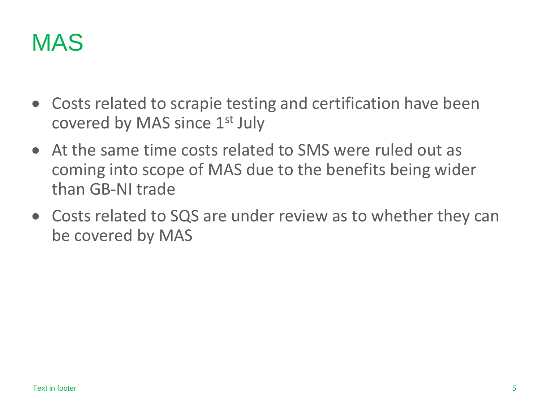

- Costs related to scrapie testing and certification have been covered by MAS since 1st July
- At the same time costs related to SMS were ruled out as coming into scope of MAS due to the benefits being wider than GB-NI trade
- Costs related to SQS are under review as to whether they can be covered by MAS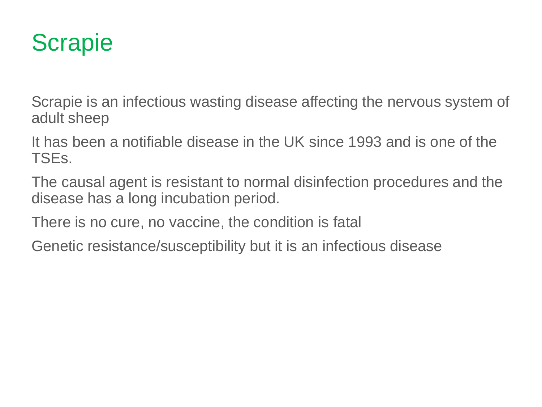#### **Scrapie**

Scrapie is an infectious wasting disease affecting the nervous system of adult sheep

It has been a notifiable disease in the UK since 1993 and is one of the TSEs.

The causal agent is resistant to normal disinfection procedures and the disease has a long incubation period.

There is no cure, no vaccine, the condition is fatal

Genetic resistance/susceptibility but it is an infectious disease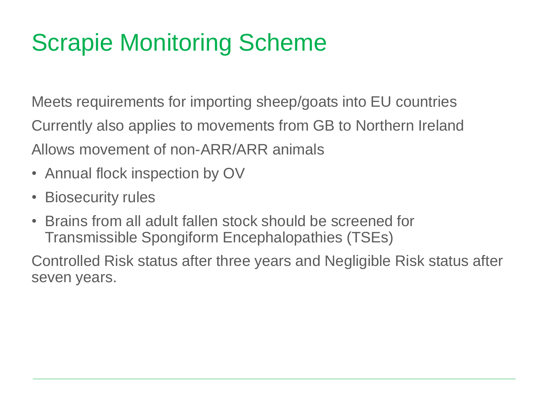## Scrapie Monitoring Scheme

Meets requirements for importing sheep/goats into EU countries Currently also applies to movements from GB to Northern Ireland Allows movement of non-ARR/ARR animals

- Annual flock inspection by OV
- Biosecurity rules
- Brains from all adult fallen stock should be screened for Transmissible Spongiform Encephalopathies (TSEs)

Controlled Risk status after three years and Negligible Risk status after seven years.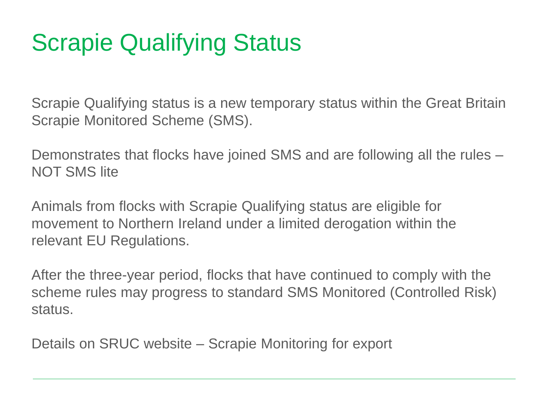## Scrapie Qualifying Status

Scrapie Qualifying status is a new temporary status within the Great Britain Scrapie Monitored Scheme (SMS).

Demonstrates that flocks have joined SMS and are following all the rules – NOT SMS lite

Animals from flocks with Scrapie Qualifying status are eligible for movement to Northern Ireland under a limited derogation within the relevant EU Regulations.

After the three-year period, flocks that have continued to comply with the scheme rules may progress to standard SMS Monitored (Controlled Risk) status.

Details on SRUC website – Scrapie Monitoring for export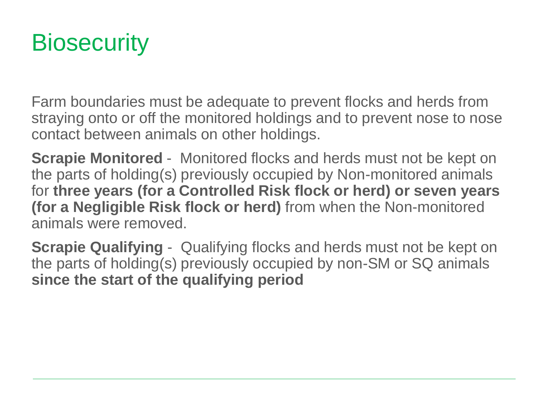#### **Biosecurity**

Farm boundaries must be adequate to prevent flocks and herds from straying onto or off the monitored holdings and to prevent nose to nose contact between animals on other holdings.

**Scrapie Monitored** - Monitored flocks and herds must not be kept on the parts of holding(s) previously occupied by Non-monitored animals for **three years (for a Controlled Risk flock or herd) or seven years (for a Negligible Risk flock or herd)** from when the Non-monitored animals were removed.

**Scrapie Qualifying -** Qualifying flocks and herds must not be kept on the parts of holding(s) previously occupied by non-SM or SQ animals **since the start of the qualifying period**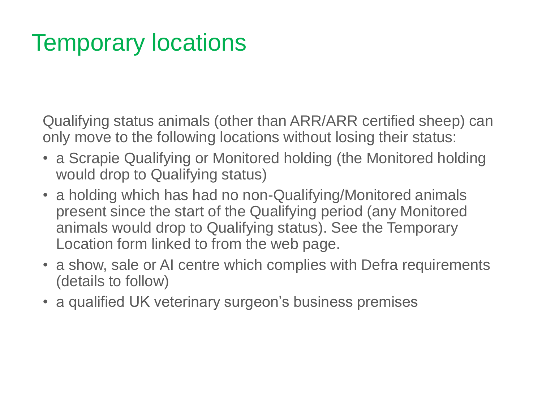#### Temporary locations

Qualifying status animals (other than ARR/ARR certified sheep) can only move to the following locations without losing their status:

- a Scrapie Qualifying or Monitored holding (the Monitored holding would drop to Qualifying status)
- a holding which has had no non-Qualifying/Monitored animals present since the start of the Qualifying period (any Monitored animals would drop to Qualifying status). See the Temporary Location form linked to from the web page.
- a show, sale or AI centre which complies with Defra requirements (details to follow)
- a qualified UK veterinary surgeon's business premises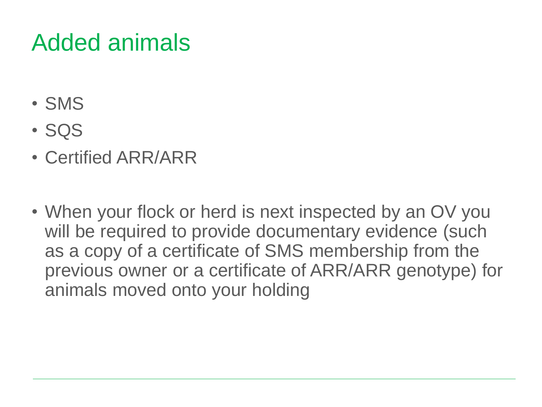#### Added animals

- SMS
- SQS
- Certified ARR/ARR
- When your flock or herd is next inspected by an OV you will be required to provide documentary evidence (such as a copy of a certificate of SMS membership from the previous owner or a certificate of ARR/ARR genotype) for animals moved onto your holding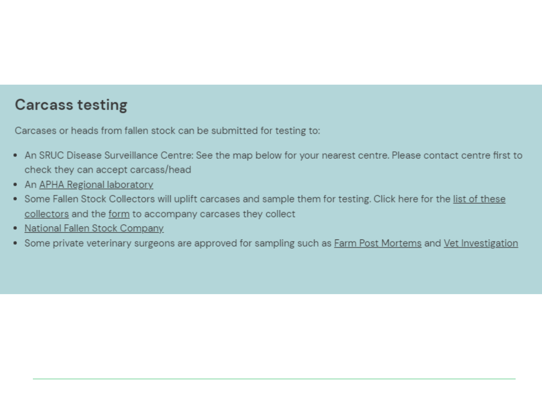#### **Carcass testing**

Carcases or heads from fallen stock can be submitted for testing to:

- An SRUC Disease Surveillance Centre: See the map below for your nearest centre. Please contact centre first to check they can accept carcass/head
- An APHA Regional laboratory
- . Some Fallen Stock Collectors will uplift carcases and sample them for testing. Click here for the list of these collectors and the form to accompany carcases they collect
- National Fallen Stock Company
- Some private veterinary surgeons are approved for sampling such as Farm Post Mortems and Vet Investigation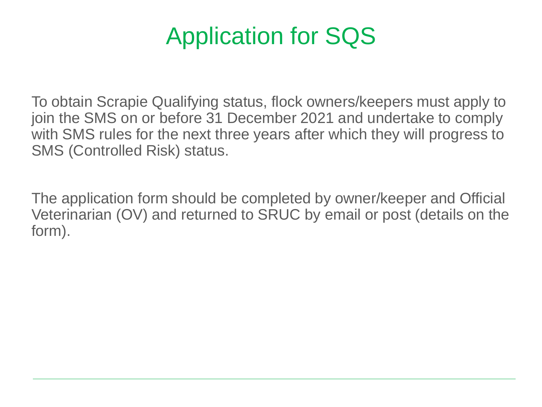#### Application for SQS

To obtain Scrapie Qualifying status, flock owners/keepers must apply to join the SMS on or before 31 December 2021 and undertake to comply with SMS rules for the next three years after which they will progress to SMS (Controlled Risk) status.

The application form should be completed by owner/keeper and Official Veterinarian (OV) and returned to SRUC by email or post (details on the form).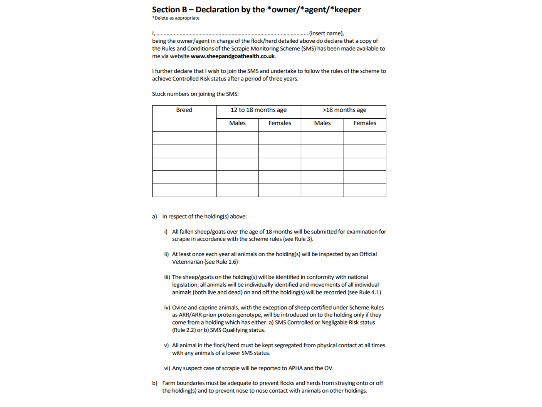#### Section B - Declaration by the \*owner/\*agent/\*keeper

\*Delete as appropriate

being the owner/agent in charge of the flock/herd detailed above do declare that a copy of the Rules and Conditions of the Scrapie Monitoring Scheme (SMS) has been made available to me via website www.sheepandgoathealth.co.uk.

I further declare that I wish to join the SMS and undertake to follow the rules of the scheme to achieve Controlled Risk status after a period of three years.

Stock numbers on joining the SMS:

| <b>Breed</b> | 12 to 18 months age |                | >18 months age |                |
|--------------|---------------------|----------------|----------------|----------------|
|              | <b>Males</b>        | <b>Females</b> | <b>Males</b>   | <b>Females</b> |
|              |                     |                |                |                |
|              |                     |                |                |                |
|              |                     |                |                |                |
|              |                     |                |                |                |
|              |                     |                |                |                |

- a) In respect of the holding(s) above:
	- i) All fallen sheep/goats over the age of 18 months will be submitted for examination for scrapie in accordance with the scheme rules (see Rule 3).
	- ii) At least once each year all animals on the holding(s) will be inspected by an Official Veterinarian (see Rule 1.6)
	- iii) The sheep/goats on the holding(s) will be identified in conformity with national legislation; all animals will be individually identified and movements of all individual animals (both live and dead) on and off the holding(s) will be recorded (see Rule 4.1)
	- iv) Ovine and caprine animals, with the exception of sheep certified under Scheme Rules as ARR/ARR prion protein genotype, will be introduced on to the holding only if they come from a holding which has either: a) SMS Controlled or Negligable Risk status (Rule 2.2) or b) SMS Qualifying status.
	- v) All animal in the flock/herd must be kept segregated from physical contact at all times with any animals of a lower SMS status.

vi) Any suspect case of scrapie will be reported to APHA and the OV.

b) Farm boundaries must be adequate to prevent flocks and herds from straying onto or off the holding(s) and to prevent nose to nose contact with animals on other holdings.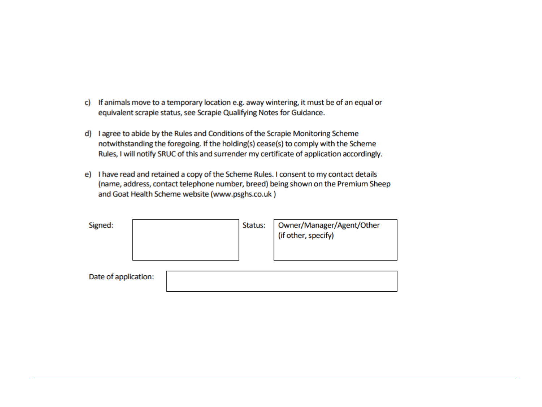- c) If animals move to a temporary location e.g. away wintering, it must be of an equal or equivalent scrapie status, see Scrapie Qualifying Notes for Guidance.
- d) I agree to abide by the Rules and Conditions of the Scrapie Monitoring Scheme notwithstanding the foregoing. If the holding(s) cease(s) to comply with the Scheme Rules, I will notify SRUC of this and surrender my certificate of application accordingly.
- e) I have read and retained a copy of the Scheme Rules. I consent to my contact details (name, address, contact telephone number, breed) being shown on the Premium Sheep and Goat Health Scheme website (www.psghs.co.uk)

| Signed:              | Status: | Owner/Manager/Agent/Other<br>(if other, specify) |
|----------------------|---------|--------------------------------------------------|
| Date of application: |         |                                                  |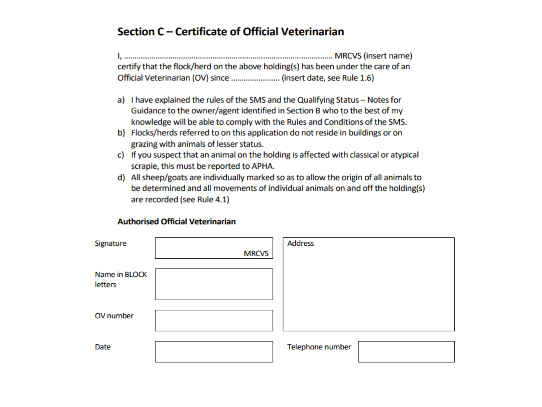#### Section C - Certificate of Official Veterinarian

certify that the flock/herd on the above holding(s) has been under the care of an Official Veterinarian (OV) since .......................... (insert date, see Rule 1.6)

- a) I have explained the rules of the SMS and the Qualifying Status Notes for Guidance to the owner/agent identified in Section B who to the best of my knowledge will be able to comply with the Rules and Conditions of the SMS.
- b) Flocks/herds referred to on this application do not reside in buildings or on grazing with animals of lesser status.
- c) If you suspect that an animal on the holding is affected with classical or atypical scrapie, this must be reported to APHA.
- d) All sheep/goats are individually marked so as to allow the origin of all animals to be determined and all movements of individual animals on and off the holding(s) are recorded (see Rule 4.1)

#### **Authorised Official Veterinarian**

| Signature                | <b>MRCVS</b> | <b>Address</b>   |  |
|--------------------------|--------------|------------------|--|
| Name in BLOCK<br>letters |              |                  |  |
| OV number                |              |                  |  |
| Date                     |              | Telephone number |  |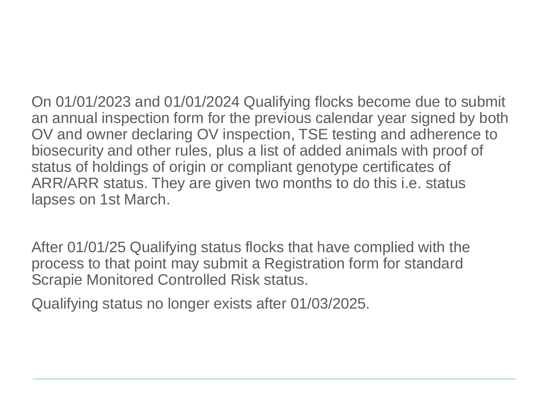On 01/01/2023 and 01/01/2024 Qualifying flocks become due to submit an annual inspection form for the previous calendar year signed by both OV and owner declaring OV inspection, TSE testing and adherence to biosecurity and other rules, plus a list of added animals with proof of status of holdings of origin or compliant genotype certificates of ARR/ARR status. They are given two months to do this i.e. status lapses on 1st March.

After 01/01/25 Qualifying status flocks that have complied with the process to that point may submit a Registration form for standard Scrapie Monitored Controlled Risk status.

Qualifying status no longer exists after 01/03/2025.